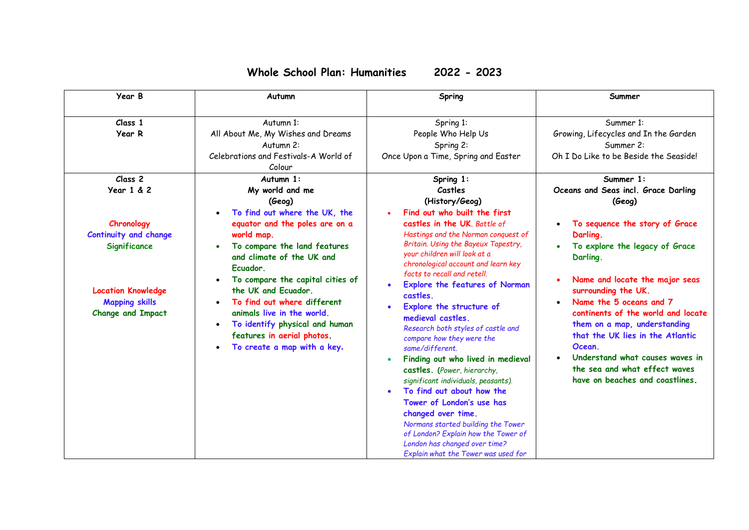## **Whole School Plan: Humanities 2022 - 2023**

| Year B                                                                                                                                                                                  | Autumn                                                                                                                                                                                                                                                                                                                                                                                                                               | Spring                                                                                                                                                                                                                                                                                                                                                                                                                                                                                                                                                                                                                                                                                                                                                                                                | Summer                                                                                                                                                                                                                                                                                                                                                                                                                                                                             |
|-----------------------------------------------------------------------------------------------------------------------------------------------------------------------------------------|--------------------------------------------------------------------------------------------------------------------------------------------------------------------------------------------------------------------------------------------------------------------------------------------------------------------------------------------------------------------------------------------------------------------------------------|-------------------------------------------------------------------------------------------------------------------------------------------------------------------------------------------------------------------------------------------------------------------------------------------------------------------------------------------------------------------------------------------------------------------------------------------------------------------------------------------------------------------------------------------------------------------------------------------------------------------------------------------------------------------------------------------------------------------------------------------------------------------------------------------------------|------------------------------------------------------------------------------------------------------------------------------------------------------------------------------------------------------------------------------------------------------------------------------------------------------------------------------------------------------------------------------------------------------------------------------------------------------------------------------------|
| Class 1<br>Year R                                                                                                                                                                       | Autumn 1:<br>All About Me, My Wishes and Dreams<br>Autumn 2:<br>Celebrations and Festivals-A World of<br>Colour                                                                                                                                                                                                                                                                                                                      | Spring 1:<br>People Who Help Us<br>Spring 2:<br>Once Upon a Time, Spring and Easter                                                                                                                                                                                                                                                                                                                                                                                                                                                                                                                                                                                                                                                                                                                   | Summer 1:<br>Growing, Lifecycles and In the Garden<br>Summer 2:<br>Oh I Do Like to be Beside the Seaside!                                                                                                                                                                                                                                                                                                                                                                          |
| Class <sub>2</sub><br>Year 1 & 2<br>Chronology<br><b>Continuity and change</b><br><b>Significance</b><br><b>Location Knowledge</b><br><b>Mapping skills</b><br><b>Change and Impact</b> | Autumn 1:<br>My world and me<br>(Geog)<br>To find out where the UK, the<br>equator and the poles are on a<br>world map.<br>To compare the land features<br>and climate of the UK and<br>Ecuador.<br>To compare the capital cities of<br>the UK and Ecuador.<br>To find out where different<br>animals live in the world.<br>To identify physical and human<br>$\bullet$<br>features in aerial photos.<br>To create a map with a key. | Spring 1:<br>Castles<br>(History/Geog)<br>Find out who built the first<br>castles in the UK. Battle of<br>Hastings and the Norman conquest of<br>Britain. Using the Bayeux Tapestry,<br>your children will look at a<br>chronological account and learn key<br>facts to recall and retell.<br>Explore the features of Norman<br>castles.<br>Explore the structure of<br>$\bullet$<br>medieval castles.<br>Research both styles of castle and<br>compare how they were the<br>same/different.<br>Finding out who lived in medieval<br>castles. (Power, hierarchy,<br>significant individuals, peasants).<br>To find out about how the<br>Tower of London's use has<br>changed over time.<br>Normans started building the Tower<br>of London? Explain how the Tower of<br>London has changed over time? | Summer 1:<br>Oceans and Seas incl. Grace Darling<br>(Geog)<br>To sequence the story of Grace<br>Darling.<br>To explore the legacy of Grace<br>Darling.<br>Name and locate the major seas<br>$\bullet$<br>surrounding the UK.<br>Name the 5 oceans and 7<br>continents of the world and locate<br>them on a map, understanding<br>that the UK lies in the Atlantic<br>Ocean.<br>Understand what causes waves in<br>the sea and what effect waves<br>have on beaches and coastlines. |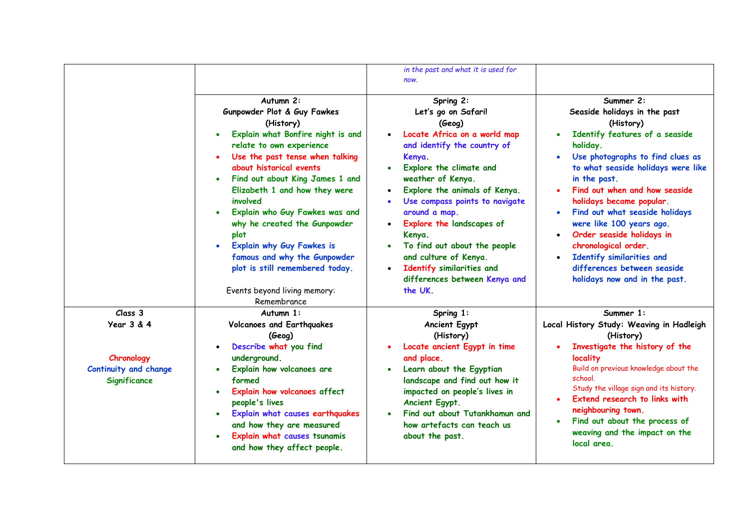|                                                                                     | Autumn 2:<br>Gunpowder Plot & Guy Fawkes<br>(History)<br>Explain what Bonfire night is and<br>relate to own experience<br>Use the past tense when talking<br>about historical events<br>Find out about King James 1 and<br>$\bullet$<br>Elizabeth 1 and how they were<br>involved<br>Explain who Guy Fawkes was and<br>why he created the Gunpowder<br>plot<br><b>Explain why Guy Fawkes is</b><br>famous and why the Gunpowder<br>plot is still remembered today.<br>Events beyond living memory: | in the past and what it is used for<br>now.<br>Spring 2:<br>Let's go on Safari!<br>(Geog)<br>Locate Africa on a world map<br>$\bullet$<br>and identify the country of<br>Kenya.<br>Explore the climate and<br>weather of Kenya.<br>Explore the animals of Kenya.<br>Use compass points to navigate<br>around a map.<br>Explore the landscapes of<br>Kenya.<br>To find out about the people<br>and culture of Kenya.<br>Identify similarities and<br>$\bullet$<br>differences between Kenya and<br>the UK. | Summer 2:<br>Seaside holidays in the past<br>(History)<br>Identify features of a seaside<br>holiday.<br>Use photographs to find clues as<br>to what seaside holidays were like<br>in the past.<br>Find out when and how seaside<br>holidays became popular.<br>Find out what seaside holidays<br>were like 100 years ago.<br>Order seaside holidays in<br>chronological order.<br>Identify similarities and<br>differences between seaside<br>holidays now and in the past. |
|-------------------------------------------------------------------------------------|----------------------------------------------------------------------------------------------------------------------------------------------------------------------------------------------------------------------------------------------------------------------------------------------------------------------------------------------------------------------------------------------------------------------------------------------------------------------------------------------------|-----------------------------------------------------------------------------------------------------------------------------------------------------------------------------------------------------------------------------------------------------------------------------------------------------------------------------------------------------------------------------------------------------------------------------------------------------------------------------------------------------------|-----------------------------------------------------------------------------------------------------------------------------------------------------------------------------------------------------------------------------------------------------------------------------------------------------------------------------------------------------------------------------------------------------------------------------------------------------------------------------|
| Class 3<br>Year 3 & 4<br>Chronology<br>Continuity and change<br><b>Significance</b> | Remembrance<br>Autumn 1:<br><b>Volcanoes and Earthquakes</b><br>(Geog)<br>Describe what you find<br>underground.<br>Explain how volcanoes are<br>formed<br>Explain how volcanoes affect<br>$\bullet$<br>people's lives<br>Explain what causes earthquakes<br>and how they are measured<br>Explain what causes tsunamis<br>$\bullet$<br>and how they affect people.                                                                                                                                 | Spring 1:<br>Ancient Egypt<br>(History)<br>Locate ancient Egypt in time<br>and place.<br>Learn about the Egyptian<br>landscape and find out how it<br>impacted on people's lives in<br>Ancient Egypt.<br>Find out about Tutankhamun and<br>how artefacts can teach us<br>about the past.                                                                                                                                                                                                                  | Summer 1:<br>Local History Study: Weaving in Hadleigh<br>(History)<br>Investigate the history of the<br>locality<br>Build on previous knowledge about the<br>school.<br>Study the village sign and its history.<br>Extend research to links with<br>neighbouring town.<br>Find out about the process of<br>weaving and the impact on the<br>local area.                                                                                                                     |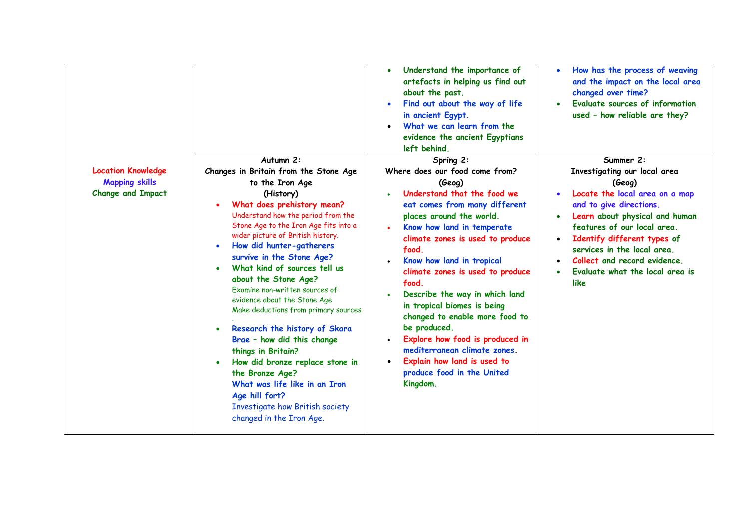|                                                                                |                                                                                                                                                                                                                                                                                                                                                                                                                                                                                                                                                                                                                                                                                                                              | Understand the importance of<br>artefacts in helping us find out<br>about the past.<br>Find out about the way of life<br>in ancient Egypt.<br>What we can learn from the<br>evidence the ancient Egyptians<br>left behind.                                                                                                                                                                                                                                                                                                                                            | How has the process of weaving<br>and the impact on the local area<br>changed over time?<br>Evaluate sources of information<br>$\bullet$<br>used - how reliable are they?                                                                                                                                                                            |
|--------------------------------------------------------------------------------|------------------------------------------------------------------------------------------------------------------------------------------------------------------------------------------------------------------------------------------------------------------------------------------------------------------------------------------------------------------------------------------------------------------------------------------------------------------------------------------------------------------------------------------------------------------------------------------------------------------------------------------------------------------------------------------------------------------------------|-----------------------------------------------------------------------------------------------------------------------------------------------------------------------------------------------------------------------------------------------------------------------------------------------------------------------------------------------------------------------------------------------------------------------------------------------------------------------------------------------------------------------------------------------------------------------|------------------------------------------------------------------------------------------------------------------------------------------------------------------------------------------------------------------------------------------------------------------------------------------------------------------------------------------------------|
| <b>Location Knowledge</b><br><b>Mapping skills</b><br><b>Change and Impact</b> | Autumn 2:<br>Changes in Britain from the Stone Age<br>to the Iron Age<br>(History)<br>What does prehistory mean?<br>Understand how the period from the<br>Stone Age to the Iron Age fits into a<br>wider picture of British history.<br>How did hunter-gatherers<br>survive in the Stone Age?<br>What kind of sources tell us<br>about the Stone Age?<br>Examine non-written sources of<br>evidence about the Stone Age<br>Make deductions from primary sources<br>Research the history of Skara<br>Brae - how did this change<br>things in Britain?<br>How did bronze replace stone in<br>the Bronze Age?<br>What was life like in an Iron<br>Age hill fort?<br>Investigate how British society<br>changed in the Iron Age. | Spring 2:<br>Where does our food come from?<br>(Geog)<br>Understand that the food we<br>eat comes from many different<br>places around the world.<br>Know how land in temperate<br>climate zones is used to produce<br>food.<br>Know how land in tropical<br>climate zones is used to produce<br>food.<br>Describe the way in which land<br>in tropical biomes is being<br>changed to enable more food to<br>be produced.<br>Explore how food is produced in<br>mediterranean climate zones.<br>Explain how land is used to<br>produce food in the United<br>Kingdom. | Summer 2:<br>Investigating our local area<br>(Geog)<br>Locate the local area on a map<br>and to give directions.<br>Learn about physical and human<br>$\bullet$<br>features of our local area.<br>Identify different types of<br>$\bullet$<br>services in the local area.<br>Collect and record evidence.<br>Evaluate what the local area is<br>like |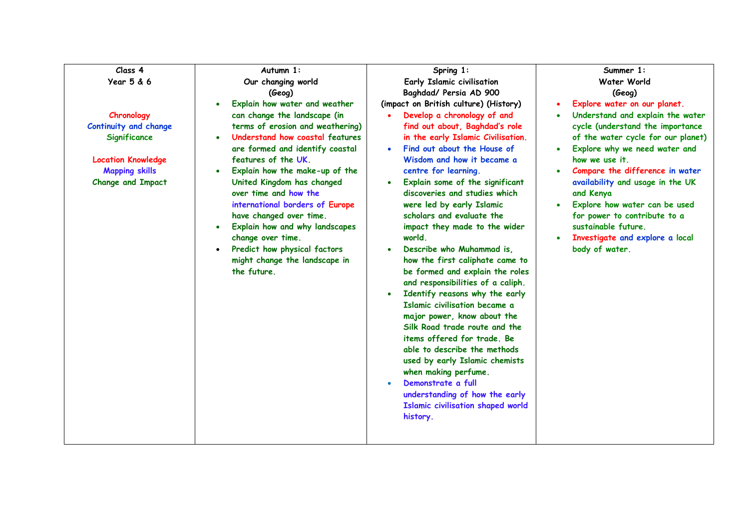| Class 4                                                                                                                               | Autumn 1:                                                                                                                                                                                                                                                                                                                                                                                                                                                                                                              | Spring 1:                                                                                                                                                                                                                                                                                                                                                                                                                                                                                                                                                                                                                                                                                                                                                                                                                                                                                                                                                | Summer 1:                                                                                                                                                                                                                                                                                                                                                                                                                      |
|---------------------------------------------------------------------------------------------------------------------------------------|------------------------------------------------------------------------------------------------------------------------------------------------------------------------------------------------------------------------------------------------------------------------------------------------------------------------------------------------------------------------------------------------------------------------------------------------------------------------------------------------------------------------|----------------------------------------------------------------------------------------------------------------------------------------------------------------------------------------------------------------------------------------------------------------------------------------------------------------------------------------------------------------------------------------------------------------------------------------------------------------------------------------------------------------------------------------------------------------------------------------------------------------------------------------------------------------------------------------------------------------------------------------------------------------------------------------------------------------------------------------------------------------------------------------------------------------------------------------------------------|--------------------------------------------------------------------------------------------------------------------------------------------------------------------------------------------------------------------------------------------------------------------------------------------------------------------------------------------------------------------------------------------------------------------------------|
| Year 5 & 6                                                                                                                            | Our changing world<br>(Geog)                                                                                                                                                                                                                                                                                                                                                                                                                                                                                           | Early Islamic civilisation<br>Baghdad/ Persia AD 900                                                                                                                                                                                                                                                                                                                                                                                                                                                                                                                                                                                                                                                                                                                                                                                                                                                                                                     | Water World<br>(Geog)                                                                                                                                                                                                                                                                                                                                                                                                          |
| Chronology<br>Continuity and change<br>Significance<br><b>Location Knowledge</b><br><b>Mapping skills</b><br><b>Change and Impact</b> | Explain how water and weather<br>$\bullet$<br>can change the landscape (in<br>terms of erosion and weathering)<br>Understand how coastal features<br>are formed and identify coastal<br>features of the UK.<br>Explain how the make-up of the<br>United Kingdom has changed<br>over time and how the<br>international borders of Europe<br>have changed over time.<br>Explain how and why landscapes<br>$\bullet$<br>change over time.<br>Predict how physical factors<br>might change the landscape in<br>the future. | (impact on British culture) (History)<br>Develop a chronology of and<br>find out about, Baghdad's role<br>in the early Islamic Civilisation.<br>Find out about the House of<br>$\bullet$<br>Wisdom and how it became a<br>centre for learning.<br>Explain some of the significant<br>discoveries and studies which<br>were led by early Islamic<br>scholars and evaluate the<br>impact they made to the wider<br>world.<br>Describe who Muhammad is,<br>how the first caliphate came to<br>be formed and explain the roles<br>and responsibilities of a caliph.<br>Identify reasons why the early<br>$\bullet$<br>Islamic civilisation became a<br>major power, know about the<br>Silk Road trade route and the<br>items offered for trade. Be<br>able to describe the methods<br>used by early Islamic chemists<br>when making perfume.<br>Demonstrate a full<br>understanding of how the early<br><b>Islamic civilisation shaped world</b><br>history. | Explore water on our planet.<br>Understand and explain the water<br>cycle (understand the importance<br>of the water cycle for our planet)<br>Explore why we need water and<br>how we use it.<br>Compare the difference in water<br>availability and usage in the UK<br>and Kenya<br>Explore how water can be used<br>for power to contribute to a<br>sustainable future.<br>Investigate and explore a local<br>body of water. |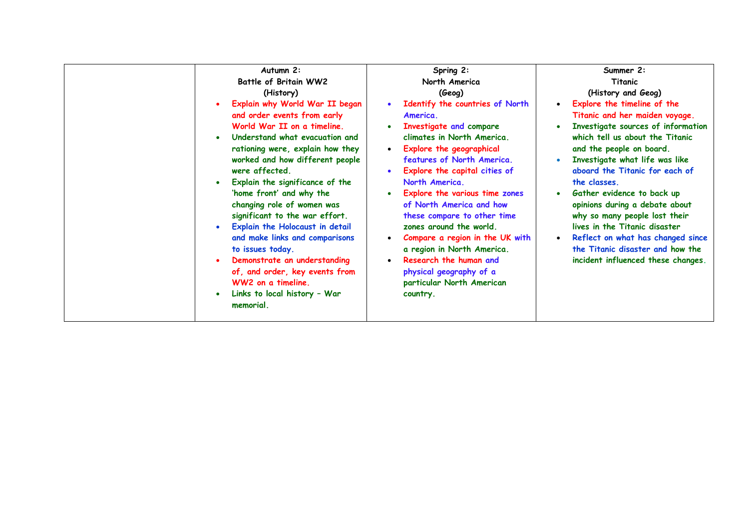| Autumn 2:                                                                                                                                                                                                                                                                                                                                                                                                                                                                                                                                                                            | Spring 2:                                                                                                                                                                                                                                                                                                                                                                                                                                                                                                                                                                                                  | Summer 2:                                                                                                                                                                                                                                                                                                                                                                                                                                                                                               |
|--------------------------------------------------------------------------------------------------------------------------------------------------------------------------------------------------------------------------------------------------------------------------------------------------------------------------------------------------------------------------------------------------------------------------------------------------------------------------------------------------------------------------------------------------------------------------------------|------------------------------------------------------------------------------------------------------------------------------------------------------------------------------------------------------------------------------------------------------------------------------------------------------------------------------------------------------------------------------------------------------------------------------------------------------------------------------------------------------------------------------------------------------------------------------------------------------------|---------------------------------------------------------------------------------------------------------------------------------------------------------------------------------------------------------------------------------------------------------------------------------------------------------------------------------------------------------------------------------------------------------------------------------------------------------------------------------------------------------|
| Battle of Britain WW2                                                                                                                                                                                                                                                                                                                                                                                                                                                                                                                                                                | North America                                                                                                                                                                                                                                                                                                                                                                                                                                                                                                                                                                                              | Titanic                                                                                                                                                                                                                                                                                                                                                                                                                                                                                                 |
| (History)                                                                                                                                                                                                                                                                                                                                                                                                                                                                                                                                                                            | (Geog)                                                                                                                                                                                                                                                                                                                                                                                                                                                                                                                                                                                                     | (History and Geog)                                                                                                                                                                                                                                                                                                                                                                                                                                                                                      |
| Explain why World War II began<br>and order events from early<br>World War II on a timeline.<br>Understand what evacuation and<br>rationing were, explain how they<br>worked and how different people<br>were affected.<br>Explain the significance of the<br>'home front' and why the<br>changing role of women was<br>significant to the war effort.<br>Explain the Holocaust in detail<br>and make links and comparisons<br>to issues today.<br>Demonstrate an understanding<br>of, and order, key events from<br>WW2 on a timeline.<br>Links to local history - War<br>memorial. | Identify the countries of North<br>$\bullet$<br>America.<br><b>Investigate and compare</b><br>$\bullet$<br>climates in North America.<br>Explore the geographical<br>$\bullet$<br>features of North America.<br>Explore the capital cities of<br>$\bullet$<br>North America.<br>Explore the various time zones<br>$\bullet$<br>of North America and how<br>these compare to other time<br>zones around the world.<br>Compare a region in the UK with<br>$\bullet$<br>a region in North America.<br>Research the human and<br>$\bullet$<br>physical geography of a<br>particular North American<br>country. | Explore the timeline of the<br>Titanic and her maiden voyage.<br>Investigate sources of information<br>which tell us about the Titanic<br>and the people on board.<br>Investigate what life was like<br>aboard the Titanic for each of<br>the classes.<br>Gather evidence to back up<br>opinions during a debate about<br>why so many people lost their<br>lives in the Titanic disaster<br>Reflect on what has changed since<br>the Titanic disaster and how the<br>incident influenced these changes. |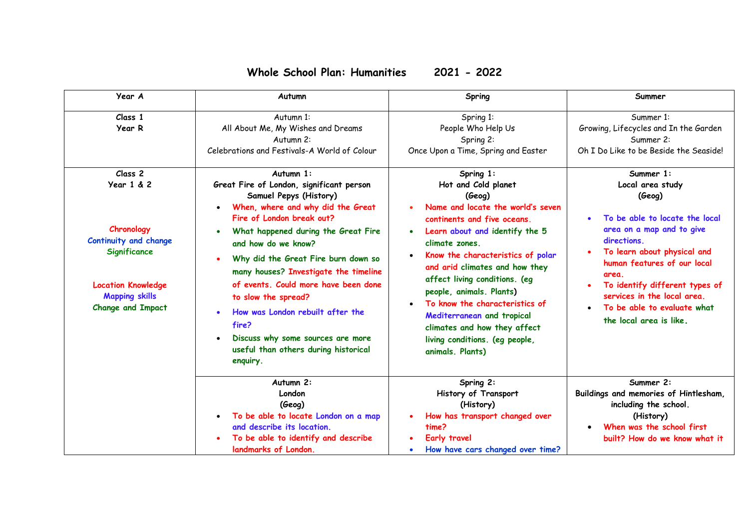## **Whole School Plan: Humanities 2021 - 2022**

| Year A                                                                                                                                                                                                | Autumn                                                                                                                                                                                                                                                                                                                                                                                                                                                  | Spring                                                                                                                                                                                                                                                                                                                                                                                        | Summer                                                                                                                                                                                                                                                                                                                                      |
|-------------------------------------------------------------------------------------------------------------------------------------------------------------------------------------------------------|---------------------------------------------------------------------------------------------------------------------------------------------------------------------------------------------------------------------------------------------------------------------------------------------------------------------------------------------------------------------------------------------------------------------------------------------------------|-----------------------------------------------------------------------------------------------------------------------------------------------------------------------------------------------------------------------------------------------------------------------------------------------------------------------------------------------------------------------------------------------|---------------------------------------------------------------------------------------------------------------------------------------------------------------------------------------------------------------------------------------------------------------------------------------------------------------------------------------------|
| Class 1<br>Year R<br>Class <sub>2</sub><br>Year 1 & 2<br>Chronology<br>Continuity and change<br><b>Significance</b><br><b>Location Knowledge</b><br><b>Mapping skills</b><br><b>Change and Impact</b> | Autumn 1:<br>All About Me, My Wishes and Dreams<br>Autumn 2:<br>Celebrations and Festivals-A World of Colour<br>Autumn 1:<br>Great Fire of London, significant person<br>Samuel Pepys (History)<br>When, where and why did the Great<br>Fire of London break out?<br>What happened during the Great Fire<br>and how do we know?<br>Why did the Great Fire burn down so<br>many houses? Investigate the timeline<br>of events. Could more have been done | Spring 1:<br>People Who Help Us<br>Spring 2:<br>Once Upon a Time, Spring and Easter<br>Spring $1:$<br>Hot and Cold planet<br>(Geog)<br>Name and locate the world's seven<br>continents and five oceans.<br>Learn about and identify the 5<br>$\bullet$<br>climate zones.<br>Know the characteristics of polar<br>$\bullet$<br>and arid climates and how they<br>affect living conditions. (eg | Summer 1:<br>Growing, Lifecycles and In the Garden<br>Summer 2:<br>Oh I Do Like to be Beside the Seaside!<br>Summer 1:<br>Local area study<br>(Geog)<br>To be able to locate the local<br>area on a map and to give<br>directions.<br>To learn about physical and<br>human features of our local<br>area.<br>To identify different types of |
|                                                                                                                                                                                                       | to slow the spread?<br>How was London rebuilt after the<br>fire?<br>Discuss why some sources are more<br>useful than others during historical<br>enquiry.                                                                                                                                                                                                                                                                                               | people, animals. Plants)<br>To know the characteristics of<br>Mediterranean and tropical<br>climates and how they affect<br>living conditions. (eg people,<br>animals. Plants)                                                                                                                                                                                                                | services in the local area.<br>To be able to evaluate what<br>the local area is like.                                                                                                                                                                                                                                                       |
|                                                                                                                                                                                                       | Autumn 2:<br>London<br>(Geog)<br>To be able to locate London on a map<br>and describe its location.<br>To be able to identify and describe<br>landmarks of London.                                                                                                                                                                                                                                                                                      | Spring 2:<br>History of Transport<br>(History)<br>How has transport changed over<br>time?<br><b>Early travel</b><br>How have cars changed over time?                                                                                                                                                                                                                                          | Summer 2:<br>Buildings and memories of Hintlesham,<br>including the school.<br>(History)<br>When was the school first<br>built? How do we know what it                                                                                                                                                                                      |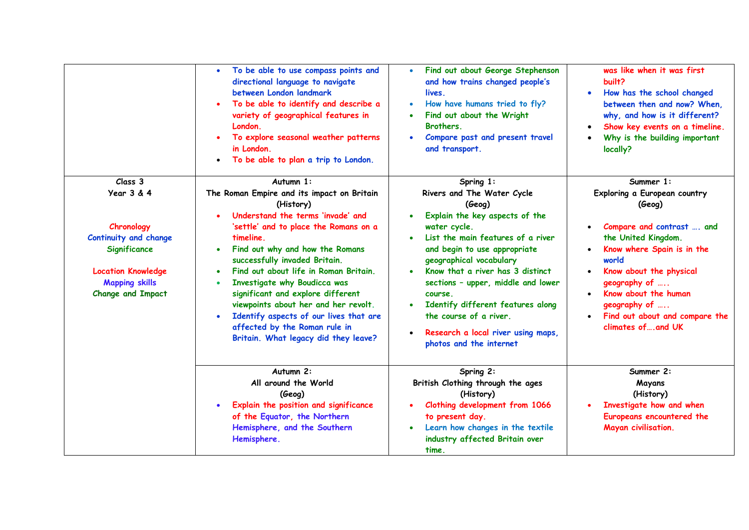|                                                                                                                                                                           | To be able to use compass points and<br>$\bullet$<br>directional language to navigate<br>between London landmark<br>To be able to identify and describe a<br>variety of geographical features in<br>London.<br>To explore seasonal weather patterns<br>in London.<br>To be able to plan a trip to London.<br>$\bullet$                                                                                                                                                                                                    | Find out about George Stephenson<br>$\bullet$<br>and how trains changed people's<br>lives.<br>How have humans tried to fly?<br>$\bullet$<br>Find out about the Wright<br>Brothers.<br>Compare past and present travel<br>$\bullet$<br>and transport.                                                                                                                                                                                                                         | was like when it was first<br>built?<br>How has the school changed<br>between then and now? When,<br>why, and how is it different?<br>Show key events on a timeline.<br>$\bullet$<br>Why is the building important<br>locally?                                                            |
|---------------------------------------------------------------------------------------------------------------------------------------------------------------------------|---------------------------------------------------------------------------------------------------------------------------------------------------------------------------------------------------------------------------------------------------------------------------------------------------------------------------------------------------------------------------------------------------------------------------------------------------------------------------------------------------------------------------|------------------------------------------------------------------------------------------------------------------------------------------------------------------------------------------------------------------------------------------------------------------------------------------------------------------------------------------------------------------------------------------------------------------------------------------------------------------------------|-------------------------------------------------------------------------------------------------------------------------------------------------------------------------------------------------------------------------------------------------------------------------------------------|
| Class 3<br><b>Year 3 &amp; 4</b><br>Chronology<br>Continuity and change<br>Significance<br><b>Location Knowledge</b><br><b>Mapping skills</b><br><b>Change and Impact</b> | Autumn 1:<br>The Roman Empire and its impact on Britain<br>(History)<br>Understand the terms 'invade' and<br>'settle' and to place the Romans on a<br>timeline.<br>Find out why and how the Romans<br>successfully invaded Britain.<br>Find out about life in Roman Britain.<br>Investigate why Boudicca was<br>significant and explore different<br>viewpoints about her and her revolt.<br>Identify aspects of our lives that are<br>$\bullet$<br>affected by the Roman rule in<br>Britain. What legacy did they leave? | Spring 1:<br>Rivers and The Water Cycle<br>(Geog)<br>Explain the key aspects of the<br>$\bullet$<br>water cycle.<br>List the main features of a river<br>$\bullet$<br>and begin to use appropriate<br>geographical vocabulary<br>Know that a river has 3 distinct<br>$\bullet$<br>sections - upper, middle and lower<br>course.<br>Identify different features along<br>the course of a river.<br>Research a local river using maps,<br>$\bullet$<br>photos and the internet | Summer 1:<br>Exploring a European country<br>(Geog)<br>Compare and contrast  and<br>the United Kingdom.<br>Know where Spain is in the<br>world<br>Know about the physical<br>geography of<br>Know about the human<br>geography of<br>Find out about and compare the<br>climates of and UK |
|                                                                                                                                                                           | Autumn 2:<br>All around the World<br>(Geog)<br>Explain the position and significance<br>of the Equator, the Northern<br>Hemisphere, and the Southern<br>Hemisphere.                                                                                                                                                                                                                                                                                                                                                       | Spring 2:<br>British Clothing through the ages<br>(History)<br>Clothing development from 1066<br>to present day.<br>Learn how changes in the textile<br>$\bullet$<br>industry affected Britain over<br>time.                                                                                                                                                                                                                                                                 | Summer 2:<br>Mayans<br>(History)<br>Investigate how and when<br>Europeans encountered the<br>Mayan civilisation.                                                                                                                                                                          |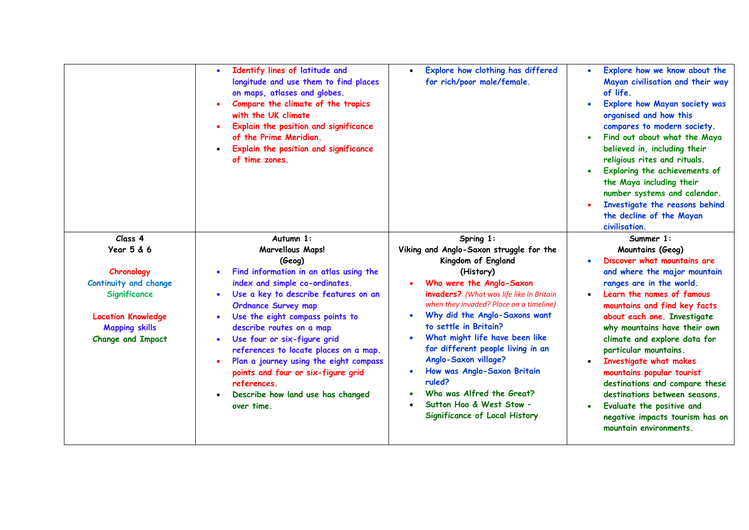|                              | Identify lines of latitude and<br>$\bullet$<br>longitude and use them to find places<br>on maps, atlases and globes.<br>Compare the climate of the tropics<br>with the UK climate<br>Explain the position and significance<br>of the Prime Meridian.<br>Explain the position and significance<br>of time zones. | Explore how clothing has differed<br>$\bullet$<br>for rich/poor male/female. | Explore how we know about the<br>$\bullet$<br>Mayan civilisation and their way<br>of life.<br>Explore how Mayan society was<br>$\bullet$<br>organised and how this<br>compares to modern society.<br>Find out about what the Maya<br>believed in, including their<br>religious rites and rituals.<br>Exploring the achievements of<br>$\bullet$<br>the Maya including their<br>number systems and calendar.<br>Investigate the reasons behind<br>the decline of the Mayan<br>civilisation. |
|------------------------------|-----------------------------------------------------------------------------------------------------------------------------------------------------------------------------------------------------------------------------------------------------------------------------------------------------------------|------------------------------------------------------------------------------|--------------------------------------------------------------------------------------------------------------------------------------------------------------------------------------------------------------------------------------------------------------------------------------------------------------------------------------------------------------------------------------------------------------------------------------------------------------------------------------------|
| Class <sub>4</sub>           | Autumn 1:                                                                                                                                                                                                                                                                                                       | Spring 1:                                                                    | Summer 1:                                                                                                                                                                                                                                                                                                                                                                                                                                                                                  |
| <b>Year 5 &amp; 6</b>        | <b>Marvellous Maps!</b>                                                                                                                                                                                                                                                                                         | Viking and Anglo-Saxon struggle for the                                      | Mountains (Geog)                                                                                                                                                                                                                                                                                                                                                                                                                                                                           |
|                              | (Geog)                                                                                                                                                                                                                                                                                                          | Kingdom of England                                                           | Discover what mountains are                                                                                                                                                                                                                                                                                                                                                                                                                                                                |
| Chronology                   | Find information in an atlas using the                                                                                                                                                                                                                                                                          | (History)                                                                    | and where the major mountain                                                                                                                                                                                                                                                                                                                                                                                                                                                               |
| <b>Continuity and change</b> | index and simple co-ordinates.                                                                                                                                                                                                                                                                                  | Who were the Anglo-Saxon                                                     | ranges are in the world.                                                                                                                                                                                                                                                                                                                                                                                                                                                                   |
| Significance                 | Use a key to describe features on an                                                                                                                                                                                                                                                                            | invaders? (What was life like in Britain                                     | Learn the names of famous<br>$\bullet$                                                                                                                                                                                                                                                                                                                                                                                                                                                     |
|                              | <b>Ordnance Survey map</b>                                                                                                                                                                                                                                                                                      | when they invaded? Place on a timeline)                                      | mountains and find key facts                                                                                                                                                                                                                                                                                                                                                                                                                                                               |
| <b>Location Knowledge</b>    | Use the eight compass points to                                                                                                                                                                                                                                                                                 | Why did the Anglo-Saxons want<br>$\bullet$                                   | about each one. Investigate                                                                                                                                                                                                                                                                                                                                                                                                                                                                |
| <b>Mapping skills</b>        | describe routes on a map                                                                                                                                                                                                                                                                                        | to settle in Britain?                                                        | why mountains have their own                                                                                                                                                                                                                                                                                                                                                                                                                                                               |
| <b>Change and Impact</b>     | Use four or six-figure grid                                                                                                                                                                                                                                                                                     | What might life have been like<br>$\bullet$                                  | climate and explore data for                                                                                                                                                                                                                                                                                                                                                                                                                                                               |
|                              | references to locate places on a map.                                                                                                                                                                                                                                                                           | for different people living in an                                            | particular mountains.                                                                                                                                                                                                                                                                                                                                                                                                                                                                      |
|                              | Plan a journey using the eight compass                                                                                                                                                                                                                                                                          | Anglo-Saxon village?                                                         | Investigate what makes                                                                                                                                                                                                                                                                                                                                                                                                                                                                     |
|                              | points and four or six-figure grid                                                                                                                                                                                                                                                                              | How was Anglo-Saxon Britain                                                  | mountains popular tourist                                                                                                                                                                                                                                                                                                                                                                                                                                                                  |
|                              | references.                                                                                                                                                                                                                                                                                                     | ruled?                                                                       | destinations and compare these                                                                                                                                                                                                                                                                                                                                                                                                                                                             |
|                              | Describe how land use has changed                                                                                                                                                                                                                                                                               | Who was Alfred the Great?<br>$\bullet$<br>Sutton Hoo & West Stow -           | destinations between seasons.                                                                                                                                                                                                                                                                                                                                                                                                                                                              |
|                              | over time.                                                                                                                                                                                                                                                                                                      | Significance of Local History                                                | Evaluate the positive and<br>$\bullet$                                                                                                                                                                                                                                                                                                                                                                                                                                                     |
|                              |                                                                                                                                                                                                                                                                                                                 |                                                                              | negative impacts tourism has on<br>mountain environments.                                                                                                                                                                                                                                                                                                                                                                                                                                  |
|                              |                                                                                                                                                                                                                                                                                                                 |                                                                              |                                                                                                                                                                                                                                                                                                                                                                                                                                                                                            |